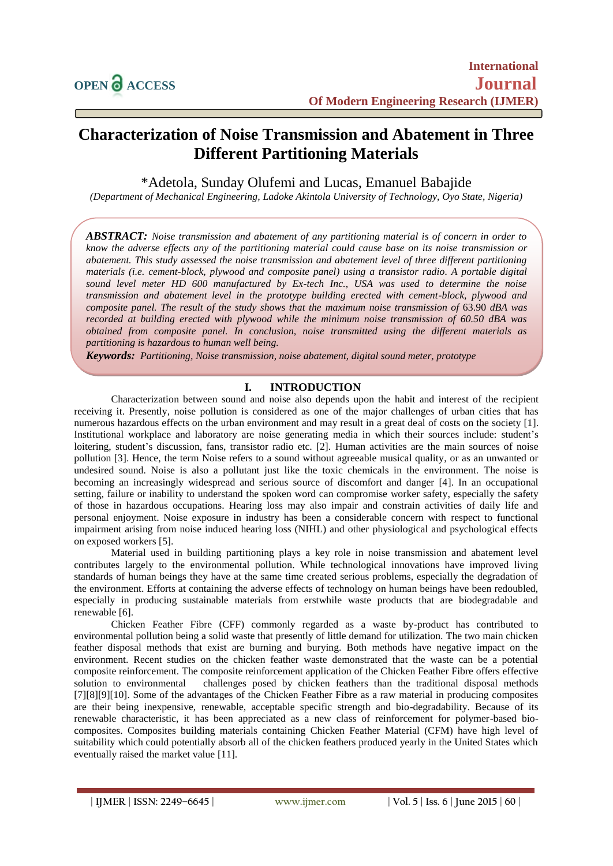# **Characterization of Noise Transmission and Abatement in Three Different Partitioning Materials**

\*Adetola, Sunday Olufemi and Lucas, Emanuel Babajide

*(Department of Mechanical Engineering, Ladoke Akintola University of Technology, Oyo State, Nigeria)*

*ABSTRACT: Noise transmission and abatement of any partitioning material is of concern in order to know the adverse effects any of the partitioning material could cause base on its noise transmission or abatement. This study assessed the noise transmission and abatement level of three different partitioning materials (i.e. cement-block, plywood and composite panel) using a transistor radio. A portable digital sound level meter HD 600 manufactured by Ex-tech Inc., USA was used to determine the noise transmission and abatement level in the prototype building erected with cement-block, plywood and composite panel. The result of the study shows that the maximum noise transmission of* 63.90 *dBA was recorded at building erected with plywood while the minimum noise transmission of 60.50 dBA was obtained from composite panel. In conclusion, noise transmitted using the different materials as partitioning is hazardous to human well being.* 

*Keywords: Partitioning, Noise transmission, noise abatement, digital sound meter, prototype*

# **I. INTRODUCTION**

Characterization between sound and noise also depends upon the habit and interest of the recipient receiving it. Presently, noise pollution is considered as one of the major challenges of urban cities that has numerous hazardous effects on the urban environment and may result in a great deal of costs on the society [1]. Institutional workplace and laboratory are noise generating media in which their sources include: student's loitering, student's discussion, fans, transistor radio etc. [2]. Human activities are the main sources of noise pollution [3]. Hence, the term Noise refers to a sound without agreeable musical quality, or as an unwanted or undesired sound. Noise is also a pollutant just like the toxic chemicals in the environment. The noise is becoming an increasingly widespread and serious source of discomfort and danger [4]. In an occupational setting, failure or inability to understand the spoken word can compromise worker safety, especially the safety of those in hazardous occupations. Hearing loss may also impair and constrain activities of daily life and personal enjoyment. Noise exposure in industry has been a considerable concern with respect to functional impairment arising from noise induced hearing loss (NIHL) and other physiological and psychological effects on exposed workers [5].

Material used in building partitioning plays a key role in noise transmission and abatement level contributes largely to the environmental pollution. While technological innovations have improved living standards of human beings they have at the same time created serious problems, especially the degradation of the environment. Efforts at containing the adverse effects of technology on human beings have been redoubled, especially in producing sustainable materials from erstwhile waste products that are biodegradable and renewable [6].

Chicken Feather Fibre (CFF) commonly regarded as a waste by-product has contributed to environmental pollution being a solid waste that presently of little demand for utilization. The two main chicken feather disposal methods that exist are burning and burying. Both methods have negative impact on the environment. Recent studies on the chicken feather waste demonstrated that the waste can be a potential composite reinforcement. The composite reinforcement application of the Chicken Feather Fibre offers effective solution to environmental challenges posed by chicken feathers than the traditional disposal methods [7][8][9][10]. Some of the advantages of the Chicken Feather Fibre as a raw material in producing composites are their being inexpensive, renewable, acceptable specific strength and bio-degradability. Because of its renewable characteristic, it has been appreciated as a new class of reinforcement for polymer-based biocomposites. Composites building materials containing Chicken Feather Material (CFM) have high level of suitability which could potentially absorb all of the chicken feathers produced yearly in the United States which eventually raised the market value [11].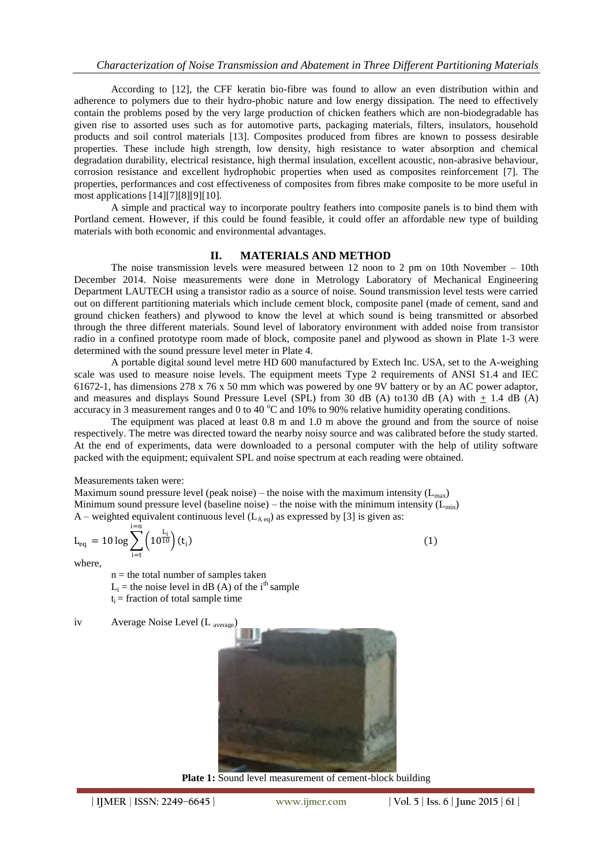According to [12], the CFF keratin bio-fibre was found to allow an even distribution within and adherence to polymers due to their hydro-phobic nature and low energy dissipation. The need to effectively contain the problems posed by the very large production of chicken feathers which are non-biodegradable has given rise to assorted uses such as for automotive parts, packaging materials, filters, insulators, household products and soil control materials [13]. Composites produced from fibres are known to possess desirable properties. These include high strength, low density, high resistance to water absorption and chemical degradation durability, electrical resistance, high thermal insulation, excellent acoustic, non-abrasive behaviour, corrosion resistance and excellent hydrophobic properties when used as composites reinforcement [7]. The properties, performances and cost effectiveness of composites from fibres make composite to be more useful in most applications [14][7][8][9][10].

A simple and practical way to incorporate poultry feathers into composite panels is to bind them with Portland cement. However, if this could be found feasible, it could offer an affordable new type of building materials with both economic and environmental advantages.

### **II. MATERIALS AND METHOD**

The noise transmission levels were measured between 12 noon to 2 pm on 10th November – 10th December 2014. Noise measurements were done in Metrology Laboratory of Mechanical Engineering Department LAUTECH using a transistor radio as a source of noise. Sound transmission level tests were carried out on different partitioning materials which include cement block, composite panel (made of cement, sand and ground chicken feathers) and plywood to know the level at which sound is being transmitted or absorbed through the three different materials. Sound level of laboratory environment with added noise from transistor radio in a confined prototype room made of block, composite panel and plywood as shown in Plate 1-3 were determined with the sound pressure level meter in Plate 4.

A portable digital sound level metre HD 600 manufactured by Extech Inc. USA, set to the A-weighing scale was used to measure noise levels. The equipment meets Type 2 requirements of ANSI S1.4 and IEC 61672-1, has dimensions 278 x 76 x 50 mm which was powered by one 9V battery or by an AC power adaptor, and measures and displays Sound Pressure Level (SPL) from 30 dB (A) to 130 dB (A) with  $+ 1.4$  dB (A) accuracy in 3 measurement ranges and 0 to 40 °C and 10% to 90% relative humidity operating conditions.

The equipment was placed at least 0.8 m and 1.0 m above the ground and from the source of noise respectively. The metre was directed toward the nearby noisy source and was calibrated before the study started. At the end of experiments, data were downloaded to a personal computer with the help of utility software packed with the equipment; equivalent SPL and noise spectrum at each reading were obtained.

#### Measurements taken were:

Maximum sound pressure level (peak noise) – the noise with the maximum intensity  $(L_{\text{max}})$ Minimum sound pressure level (baseline noise) – the noise with the minimum intensity  $(L_{min})$ A – weighted equivalent continuous level  $(L_{A \text{ eq}})$  as expressed by [3] is given as:

$$
L_{eq} = 10 \log \sum_{i=t}^{i=n} \left( 10^{\frac{L_i}{10}} \right) (t_i)
$$
 (1)

where,

 $n =$  the total number of samples taken  $L_i$  = the noise level in dB (A) of the i<sup>th</sup> sample  $t_i$  = fraction of total sample time

iv Average Noise Level (L <sub>average</sub>)



**Plate 1:** Sound level measurement of cement-block building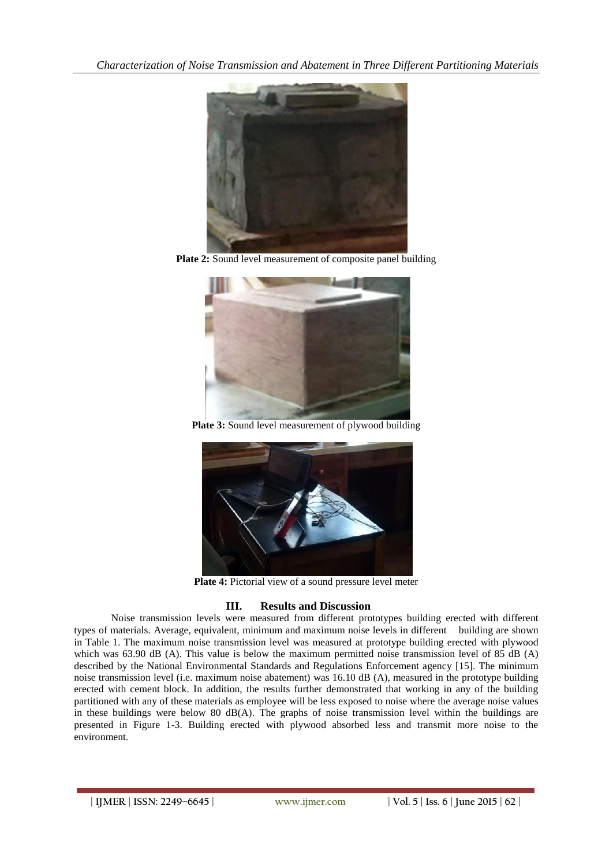

**Plate 2:** Sound level measurement of composite panel building



**Plate 3:** Sound level measurement of plywood building



**Plate 4:** Pictorial view of a sound pressure level meter

# **III. Results and Discussion**

Noise transmission levels were measured from different prototypes building erected with different types of materials. Average, equivalent, minimum and maximum noise levels in different building are shown in Table 1. The maximum noise transmission level was measured at prototype building erected with plywood which was 63.90 dB (A). This value is below the maximum permitted noise transmission level of 85 dB (A) described by the National Environmental Standards and Regulations Enforcement agency [15]. The minimum noise transmission level (i.e. maximum noise abatement) was 16.10 dB (A), measured in the prototype building erected with cement block. In addition, the results further demonstrated that working in any of the building partitioned with any of these materials as employee will be less exposed to noise where the average noise values in these buildings were below 80  $dB(A)$ . The graphs of noise transmission level within the buildings are presented in Figure 1-3. Building erected with plywood absorbed less and transmit more noise to the environment.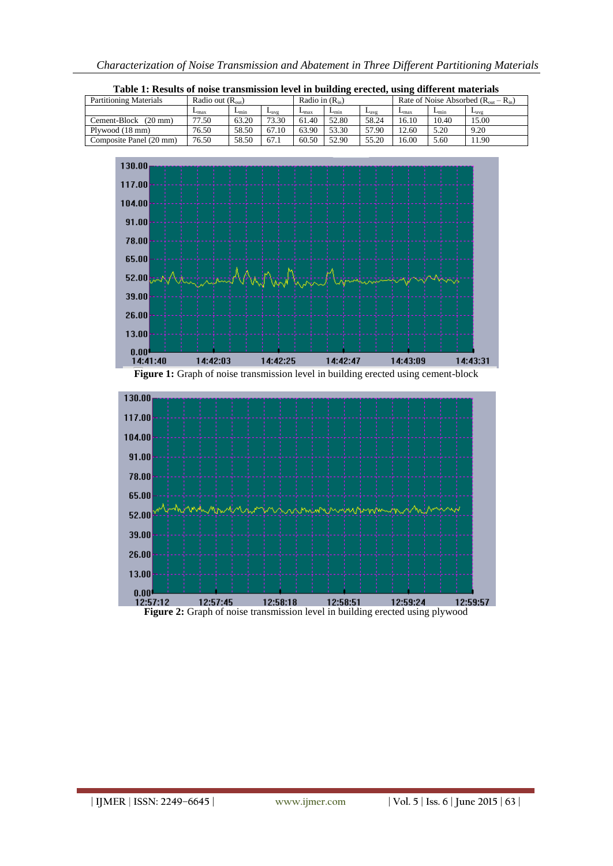

| Partitioning Materials                                                                         | Radio out $(R_{out})$       |               |           |           | Radio in $(R_{in})$ |               |               | Rate of Noise Absorbed $(R_{out} - R_{in})$ |                  |
|------------------------------------------------------------------------------------------------|-----------------------------|---------------|-----------|-----------|---------------------|---------------|---------------|---------------------------------------------|------------------|
|                                                                                                | $\overline{L}_{\text{max}}$ | $L_{\rm min}$ | $L_{avg}$ | $L_{max}$ | $L_{\rm min}$       | $L_{\rm avg}$ | $L_{\rm max}$ | $L_{min}$                                   | $L_{\text{avg}}$ |
| Cement-Block (20 mm)                                                                           | 77.50                       | 63.20         | 73.30     | 61.40     | 52.80               | 58.24         | 16.10         | 10.40                                       | 15.00            |
| Plywood (18 mm)                                                                                | 76.50                       | 58.50         | 67.10     | 63.90     | 53.30               | 57.90         | 12.60         | 5.20                                        | 9.20             |
| Composite Panel (20 mm)                                                                        | 76.50                       | 58.50         | 67.1      | 60.50     | 52.90               | 55.20         | 16.00         | 5.60                                        | 11.90            |
| 130.00<br>117.00<br>104.00<br>91.00<br>78.00<br>65.00<br>52.00<br>39.00<br>26.00               |                             |               |           |           |                     |               |               |                                             |                  |
|                                                                                                |                             |               |           |           |                     |               |               |                                             |                  |
| 13.00<br>0.00                                                                                  |                             |               |           |           |                     |               |               |                                             |                  |
| 14:41:40<br>Figure 1: Graph of noise transmission level in building erected using cement-block | 14:42:03                    |               | 14:42:25  |           | 14:42:47            |               | 14:43:09      |                                             | 14:43:31         |
| 130.00<br>117.00                                                                               |                             |               |           |           |                     |               |               |                                             |                  |
| 104.00<br>91.00                                                                                |                             |               |           |           |                     |               |               |                                             |                  |
| 78.00<br>65.00                                                                                 |                             |               |           |           |                     |               |               |                                             |                  |
| 52.00<br>39.00                                                                                 |                             |               |           |           |                     |               |               |                                             |                  |
| 26.00<br>13.00<br>0.00                                                                         |                             |               |           |           |                     |               |               |                                             |                  |

**Table 1: Results of noise transmission level in building erected, using different materials**